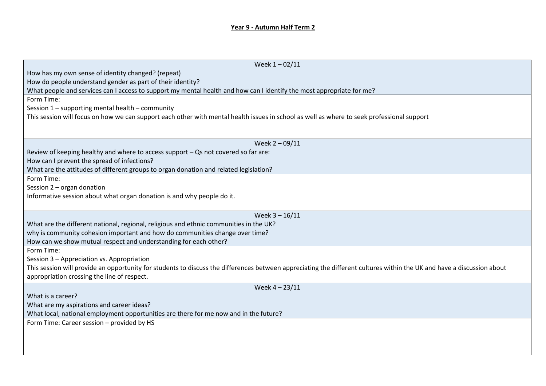## **Year 9 - Autumn Half Term 2**

| Week $1 - 02/11$                                                                                                                                                       |  |
|------------------------------------------------------------------------------------------------------------------------------------------------------------------------|--|
| How has my own sense of identity changed? (repeat)                                                                                                                     |  |
| How do people understand gender as part of their identity?                                                                                                             |  |
| What people and services can I access to support my mental health and how can I identify the most appropriate for me?                                                  |  |
| Form Time:                                                                                                                                                             |  |
| Session 1 - supporting mental health - community                                                                                                                       |  |
| This session will focus on how we can support each other with mental health issues in school as well as where to seek professional support                             |  |
|                                                                                                                                                                        |  |
|                                                                                                                                                                        |  |
| Week $2 - 09/11$                                                                                                                                                       |  |
| Review of keeping healthy and where to access support - Qs not covered so far are:                                                                                     |  |
| How can I prevent the spread of infections?                                                                                                                            |  |
| What are the attitudes of different groups to organ donation and related legislation?                                                                                  |  |
| Form Time:                                                                                                                                                             |  |
| Session 2 - organ donation                                                                                                                                             |  |
| Informative session about what organ donation is and why people do it.                                                                                                 |  |
|                                                                                                                                                                        |  |
| Week $3 - 16/11$                                                                                                                                                       |  |
| What are the different national, regional, religious and ethnic communities in the UK?                                                                                 |  |
| why is community cohesion important and how do communities change over time?                                                                                           |  |
| How can we show mutual respect and understanding for each other?                                                                                                       |  |
| Form Time:                                                                                                                                                             |  |
| Session 3 - Appreciation vs. Appropriation                                                                                                                             |  |
| This session will provide an opportunity for students to discuss the differences between appreciating the different cultures within the UK and have a discussion about |  |
| appropriation crossing the line of respect.                                                                                                                            |  |
| Week $4 - 23/11$                                                                                                                                                       |  |
| What is a career?                                                                                                                                                      |  |
| What are my aspirations and career ideas?                                                                                                                              |  |
| What local, national employment opportunities are there for me now and in the future?                                                                                  |  |
| Form Time: Career session - provided by HS                                                                                                                             |  |
|                                                                                                                                                                        |  |
|                                                                                                                                                                        |  |
|                                                                                                                                                                        |  |
|                                                                                                                                                                        |  |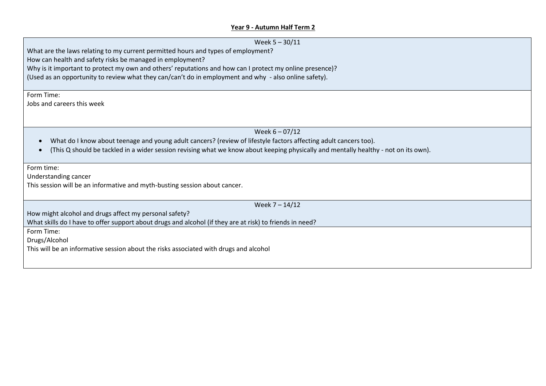## **Year 9 - Autumn Half Term 2**

| Week $5 - 30/11$                                                                                                                    |
|-------------------------------------------------------------------------------------------------------------------------------------|
| What are the laws relating to my current permitted hours and types of employment?                                                   |
| How can health and safety risks be managed in employment?                                                                           |
| Why is it important to protect my own and others' reputations and how can I protect my online presence)?                            |
| (Used as an opportunity to review what they can/can't do in employment and why - also online safety).                               |
|                                                                                                                                     |
|                                                                                                                                     |
| Form Time:                                                                                                                          |
| Jobs and careers this week                                                                                                          |
|                                                                                                                                     |
|                                                                                                                                     |
| Week $6 - 07/12$                                                                                                                    |
| What do I know about teenage and young adult cancers? (review of lifestyle factors affecting adult cancers too).                    |
| (This Q should be tackled in a wider session revising what we know about keeping physically and mentally healthy - not on its own). |
|                                                                                                                                     |
|                                                                                                                                     |
| Form time:                                                                                                                          |
| Understanding cancer                                                                                                                |
| This session will be an informative and myth-busting session about cancer.                                                          |
|                                                                                                                                     |
| Week 7 - 14/12                                                                                                                      |
| How might alcohol and drugs affect my personal safety?                                                                              |
| What skills do I have to offer support about drugs and alcohol (if they are at risk) to friends in need?                            |
| Form Time:                                                                                                                          |
|                                                                                                                                     |
| Drugs/Alcohol                                                                                                                       |
| This will be an informative session about the risks associated with drugs and alcohol                                               |
|                                                                                                                                     |
|                                                                                                                                     |